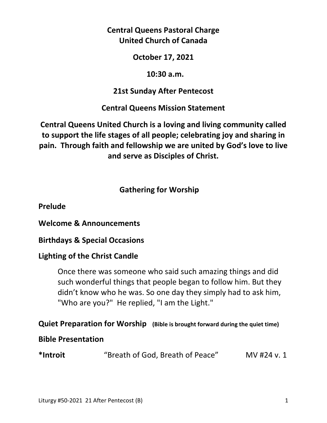## **Central Queens Pastoral Charge United Church of Canada**

### **October 17, 2021**

## **10:30 a.m.**

# **21st Sunday After Pentecost**

# **Central Queens Mission Statement**

**Central Queens United Church is a loving and living community called to support the life stages of all people; celebrating joy and sharing in pain. Through faith and fellowship we are united by God's love to live and serve as Disciples of Christ.**

# **Gathering for Worship**

**Prelude** 

**Welcome & Announcements** 

**Birthdays & Special Occasions** 

# **Lighting of the Christ Candle**

 Once there was someone who said such amazing things and did such wonderful things that people began to follow him. But they didn't know who he was. So one day they simply had to ask him, "Who are you?" He replied, "I am the Light."

# **Quiet Preparation for Worship (Bible is brought forward during the quiet time)**

## **Bible Presentation**

| *Introit | "Breath of God, Breath of Peace" | MV #24 v. 1 |
|----------|----------------------------------|-------------|
|----------|----------------------------------|-------------|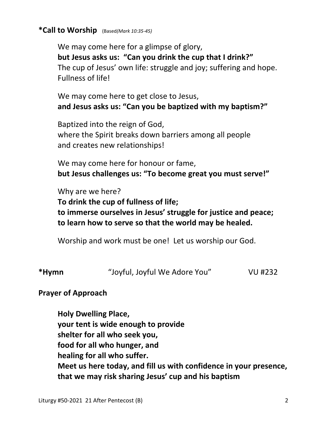### **\*Call to Worship** (Based*(Mark 10:35-45)*

 We may come here for a glimpse of glory,  **but Jesus asks us: "Can you drink the cup that I drink?"** The cup of Jesus' own life: struggle and joy; suffering and hope. Fullness of life!

 We may come here to get close to Jesus,  **and Jesus asks us: "Can you be baptized with my baptism?"**

 Baptized into the reign of God, where the Spirit breaks down barriers among all people and creates new relationships!

 We may come here for honour or fame,  **but Jesus challenges us: "To become great you must serve!"**

 Why are we here?  **To drink the cup of fullness of life; to immerse ourselves in Jesus' struggle for justice and peace; to learn how to serve so that the world may be healed.** 

Worship and work must be one! Let us worship our God.

**\*Hymn** "Joyful, Joyful We Adore You" VU #232

### **Prayer of Approach**

 **Holy Dwelling Place, your tent is wide enough to provide shelter for all who seek you, food for all who hunger, and healing for all who suffer. Meet us here today, and fill us with confidence in your presence, that we may risk sharing Jesus' cup and his baptism**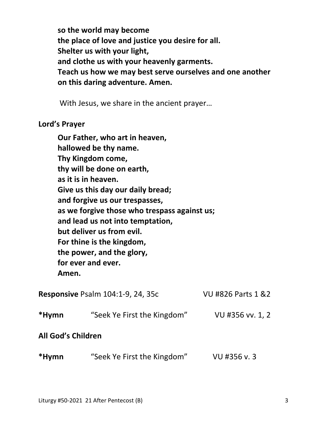**so the world may become the place of love and justice you desire for all. Shelter us with your light, and clothe us with your heavenly garments. Teach us how we may best serve ourselves and one another on this daring adventure. Amen.** 

With Jesus, we share in the ancient prayer…

#### **Lord's Prayer**

|                                              | Our Father, who art in heaven,           |                               |  |  |  |
|----------------------------------------------|------------------------------------------|-------------------------------|--|--|--|
|                                              | hallowed be thy name.                    |                               |  |  |  |
|                                              | Thy Kingdom come,                        |                               |  |  |  |
|                                              | thy will be done on earth,               |                               |  |  |  |
| as it is in heaven.                          |                                          |                               |  |  |  |
| Give us this day our daily bread;            |                                          |                               |  |  |  |
| and forgive us our trespasses,               |                                          |                               |  |  |  |
| as we forgive those who trespass against us; |                                          |                               |  |  |  |
|                                              | and lead us not into temptation,         |                               |  |  |  |
|                                              | but deliver us from evil.                |                               |  |  |  |
|                                              | For thine is the kingdom,                |                               |  |  |  |
|                                              | the power, and the glory,                |                               |  |  |  |
|                                              | for ever and ever.                       |                               |  |  |  |
| Amen.                                        |                                          |                               |  |  |  |
|                                              | <b>Responsive Psalm 104:1-9, 24, 35c</b> | <b>VU #826 Parts 1 &amp;2</b> |  |  |  |
| *Hymn                                        | "Seek Ye First the Kingdom"              | VU #356 vv. 1, 2              |  |  |  |
| <b>All God's Children</b>                    |                                          |                               |  |  |  |

**\*Hymn** "Seek Ye First the Kingdom" VU #356 v. 3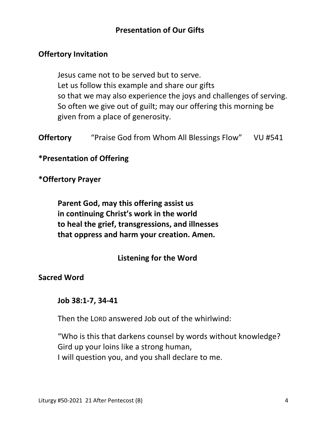## **Presentation of Our Gifts**

### **Offertory Invitation**

 Jesus came not to be served but to serve. Let us follow this example and share our gifts so that we may also experience the joys and challenges of serving. So often we give out of guilt; may our offering this morning be given from a place of generosity.

**Offertory** "Praise God from Whom All Blessings Flow" VU #541

### **\*Presentation of Offering**

### **\*Offertory Prayer**

 **Parent God, may this offering assist us in continuing Christ's work in the world to heal the grief, transgressions, and illnesses that oppress and harm your creation. Amen.** 

### **Listening for the Word**

#### **Sacred Word**

#### **Job 38:1-7, 34-41**

Then the LORD answered Job out of the whirlwind:

"Who is this that darkens counsel by words without knowledge? Gird up your loins like a strong human, I will question you, and you shall declare to me.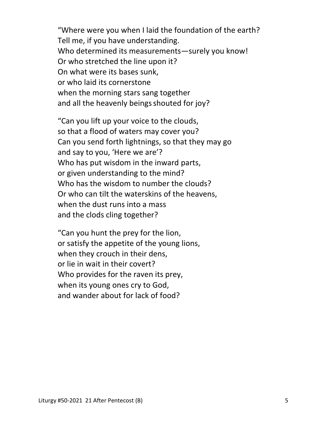"Where were you when I laid the foundation of the earth? Tell me, if you have understanding. Who determined its measurements—surely you know! Or who stretched the line upon it? On what were its bases sunk, or who laid its cornerstone when the morning stars sang together and all the heavenly beings shouted for joy?

"Can you lift up your voice to the clouds, so that a flood of waters may cover you? Can you send forth lightnings, so that they may go and say to you, 'Here we are'? Who has put wisdom in the inward parts, or given understanding to the mind? Who has the wisdom to number the clouds? Or who can tilt the waterskins of the heavens, when the dust runs into a mass and the clods cling together?

"Can you hunt the prey for the lion, or satisfy the appetite of the young lions, when they crouch in their dens, or lie in wait in their covert? Who provides for the raven its prey, when its young ones cry to God, and wander about for lack of food?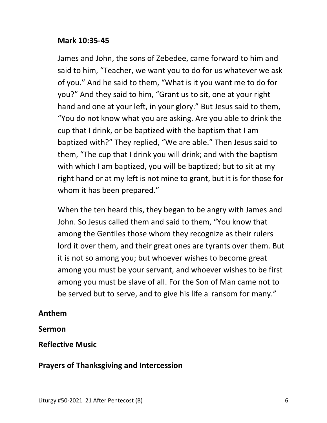### **Mark 10:35-45**

James and John, the sons of Zebedee, came forward to him and said to him, "Teacher, we want you to do for us whatever we ask of you." And he said to them, "What is it you want me to do for you?" And they said to him, "Grant us to sit, one at your right hand and one at your left, in your glory." But Jesus said to them, "You do not know what you are asking. Are you able to drink the cup that I drink, or be baptized with the baptism that I am baptized with?" They replied, "We are able." Then Jesus said to them, "The cup that I drink you will drink; and with the baptism with which I am baptized, you will be baptized; but to sit at my right hand or at my left is not mine to grant, but it is for those for whom it has been prepared."

When the ten heard this, they began to be angry with James and John. So Jesus called them and said to them, "You know that among the Gentiles those whom they recognize as their rulers lord it over them, and their great ones are tyrants over them. But it is not so among you; but whoever wishes to become great among you must be your servant, and whoever wishes to be first among you must be slave of all. For the Son of Man came not to be served but to serve, and to give his life a ransom for many."

### **Anthem**

#### **Sermon**

### **Reflective Music**

### **Prayers of Thanksgiving and Intercession**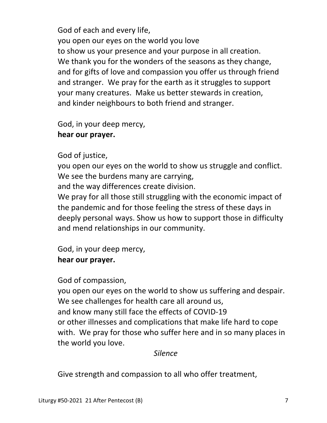God of each and every life, you open our eyes on the world you love to show us your presence and your purpose in all creation. We thank you for the wonders of the seasons as they change, and for gifts of love and compassion you offer us through friend and stranger. We pray for the earth as it struggles to support your many creatures. Make us better stewards in creation, and kinder neighbours to both friend and stranger.

God, in your deep mercy,  **hear our prayer.** 

## God of justice,

 you open our eyes on the world to show us struggle and conflict. We see the burdens many are carrying,

and the way differences create division.

 We pray for all those still struggling with the economic impact of the pandemic and for those feeling the stress of these days in deeply personal ways. Show us how to support those in difficulty and mend relationships in our community.

 God, in your deep mercy,  **hear our prayer.** 

### God of compassion,

 you open our eyes on the world to show us suffering and despair. We see challenges for health care all around us, and know many still face the effects of COVID-19 or other illnesses and complications that make life hard to cope with. We pray for those who suffer here and in so many places in the world you love.

### *Silence*

Give strength and compassion to all who offer treatment,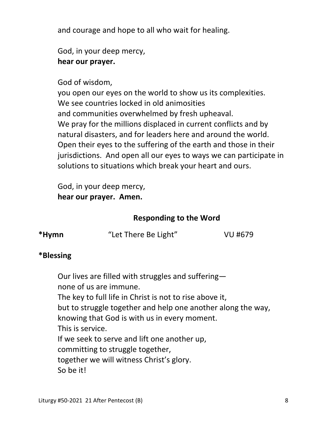and courage and hope to all who wait for healing.

 God, in your deep mercy,  **hear our prayer.** 

### God of wisdom,

 you open our eyes on the world to show us its complexities. We see countries locked in old animosities and communities overwhelmed by fresh upheaval. We pray for the millions displaced in current conflicts and by natural disasters, and for leaders here and around the world. Open their eyes to the suffering of the earth and those in their jurisdictions. And open all our eyes to ways we can participate in solutions to situations which break your heart and ours.

 God, in your deep mercy,  **hear our prayer. Amen.** 

## **Responding to the Word**

| *Hymn | "Let There Be Light" | VU #679 |
|-------|----------------------|---------|
|       |                      |         |

## **\*Blessing**

Our lives are filled with struggles and suffering none of us are immune. The key to full life in Christ is not to rise above it, but to struggle together and help one another along the way, knowing that God is with us in every moment. This is service. If we seek to serve and lift one another up, committing to struggle together, together we will witness Christ's glory. So be it!